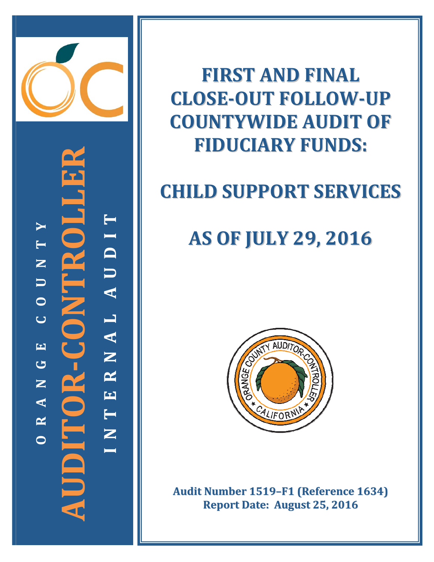

 $\blacktriangleright$ AUDI  $\blacksquare$ Z  $\begin{array}{c}\n\hline\n\end{array}$  $\bullet$ E RNAL  $\overline{C}$  $\sum_{i=1}^{n}$  $\blacksquare$  $\bullet$ Z  $\mathbf{H}$  $\blacktriangleleft$  $\overline{\mathbf{r}}$  $\mathbf{\underline{\underline{\mathsf{K}}}}$  $\overline{z}$  $\bullet$ 

**FIRST AND FINAL CLOSE-OUT FOLLOW-UP COUNTYWIDE AUDIT OF FIDUCIARY FUNDS:** 

## **CHILD SUPPORT SERVICES**

# **AS OF JULY 29, 2016**



**Audit Number 1519-F1 (Reference 1634) Report Date: August 25, 2016**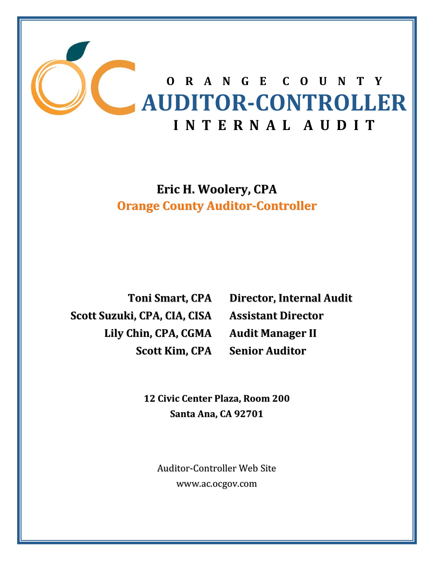

**Eric H. Woolery, CPA Orange County Auditor‐Controller**

**Toni Smart, CPA Scott Suzuki, CPA, CIA, CISA Lily Chin, CPA, CGMA Scott Kim, CPA**

**Director, Internal Audit Assistant Director Audit Manager II Senior Auditor**

**12 Civic Center Plaza, Room 200 Santa Ana, CA 92701**

Auditor‐Controller Web Site www.ac.ocgov.com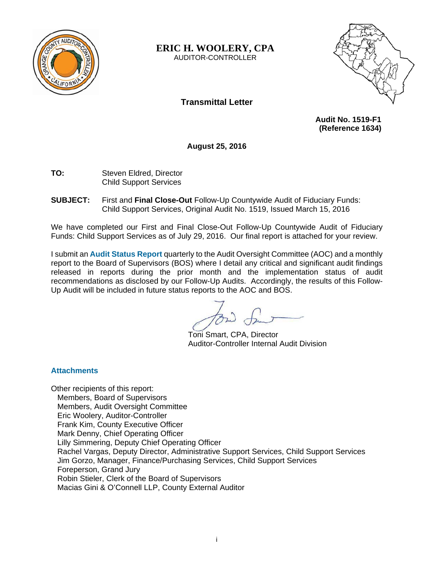

### **ERIC H. WOOLERY, CPA**

AUDITOR-CONTROLLER



#### **Transmittal Letter**

 **Audit No. 1519-F1 (Reference 1634)** 

**August 25, 2016** 

- **TO:** Steven Eldred, Director Child Support Services
- **SUBJECT:** First and **Final Close-Out** Follow-Up Countywide Audit of Fiduciary Funds: Child Support Services, Original Audit No. 1519, Issued March 15, 2016

We have completed our First and Final Close-Out Follow-Up Countywide Audit of Fiduciary Funds: Child Support Services as of July 29, 2016. Our final report is attached for your review.

I submit an **Audit Status Report** quarterly to the Audit Oversight Committee (AOC) and a monthly report to the Board of Supervisors (BOS) where I detail any critical and significant audit findings released in reports during the prior month and the implementation status of audit recommendations as disclosed by our Follow-Up Audits. Accordingly, the results of this Follow-Up Audit will be included in future status reports to the AOC and BOS.

Toni Smart, CPA, Director Auditor-Controller Internal Audit Division

#### **Attachments**

Other recipients of this report: Members, Board of Supervisors Members, Audit Oversight Committee Eric Woolery, Auditor-Controller Frank Kim, County Executive Officer Mark Denny, Chief Operating Officer Lilly Simmering, Deputy Chief Operating Officer Rachel Vargas, Deputy Director, Administrative Support Services, Child Support Services Jim Gorzo, Manager, Finance/Purchasing Services, Child Support Services Foreperson, Grand Jury Robin Stieler, Clerk of the Board of Supervisors Macias Gini & O'Connell LLP, County External Auditor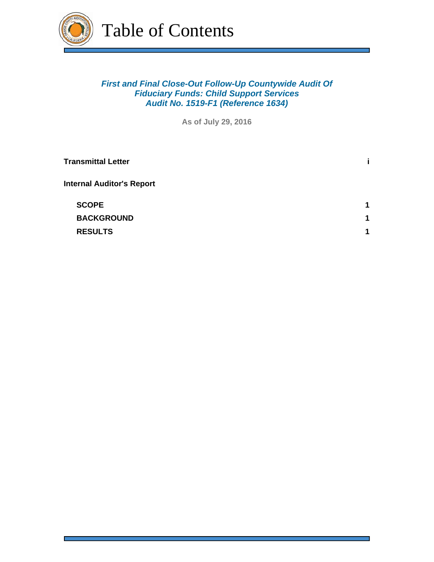

Table of Contents

#### *First and Final Close-Out Follow-Up Countywide Audit Of Fiduciary Funds: Child Support Services Audit No. 1519-F1 (Reference 1634)*

**As of July 29, 2016**

| <b>Transmittal Letter</b>        |   |
|----------------------------------|---|
| <b>Internal Auditor's Report</b> |   |
| <b>SCOPE</b>                     | 1 |
| <b>BACKGROUND</b>                | 1 |
| <b>RESULTS</b>                   | 1 |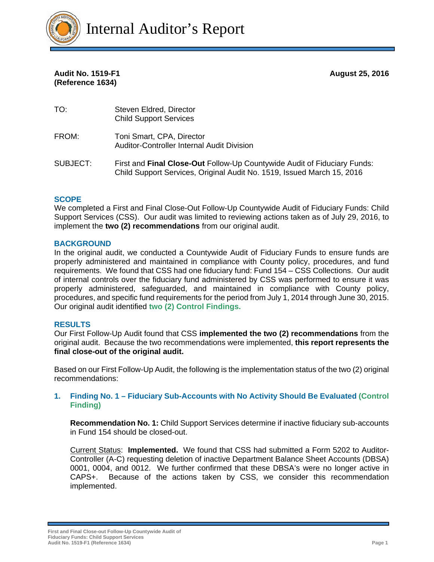

**Audit No. 1519-F1 August 25, 2016** 

| <b>Audit No. 1519-F1</b> |  |
|--------------------------|--|
| (Reference 1634)         |  |

| TO:      | Steven Eldred, Director<br><b>Child Support Services</b>                                                                                                  |
|----------|-----------------------------------------------------------------------------------------------------------------------------------------------------------|
| FROM:    | Toni Smart, CPA, Director<br>Auditor-Controller Internal Audit Division                                                                                   |
| SUBJECT: | First and <b>Final Close-Out</b> Follow-Up Countywide Audit of Fiduciary Funds:<br>Child Support Services, Original Audit No. 1519, Issued March 15, 2016 |

#### **SCOPE**

We completed a First and Final Close-Out Follow-Up Countywide Audit of Fiduciary Funds: Child Support Services (CSS). Our audit was limited to reviewing actions taken as of July 29, 2016, to implement the **two (2) recommendations** from our original audit.

#### **BACKGROUND**

In the original audit, we conducted a Countywide Audit of Fiduciary Funds to ensure funds are properly administered and maintained in compliance with County policy, procedures, and fund requirements. We found that CSS had one fiduciary fund: Fund 154 – CSS Collections. Our audit of internal controls over the fiduciary fund administered by CSS was performed to ensure it was properly administered, safeguarded, and maintained in compliance with County policy, procedures, and specific fund requirements for the period from July 1, 2014 through June 30, 2015. Our original audit identified **two (2) Control Findings.** 

#### **RESULTS**

Our First Follow-Up Audit found that CSS **implemented the two (2) recommendations** from the original audit. Because the two recommendations were implemented, **this report represents the final close-out of the original audit.**

Based on our First Follow-Up Audit, the following is the implementation status of the two (2) original recommendations:

#### **1. Finding No. 1 – Fiduciary Sub-Accounts with No Activity Should Be Evaluated (Control Finding)**

**Recommendation No. 1:** Child Support Services determine if inactive fiduciary sub-accounts in Fund 154 should be closed-out.

Current Status: **Implemented.** We found that CSS had submitted a Form 5202 to Auditor-Controller (A-C) requesting deletion of inactive Department Balance Sheet Accounts (DBSA) 0001, 0004, and 0012. We further confirmed that these DBSA's were no longer active in CAPS+. Because of the actions taken by CSS, we consider this recommendation implemented.